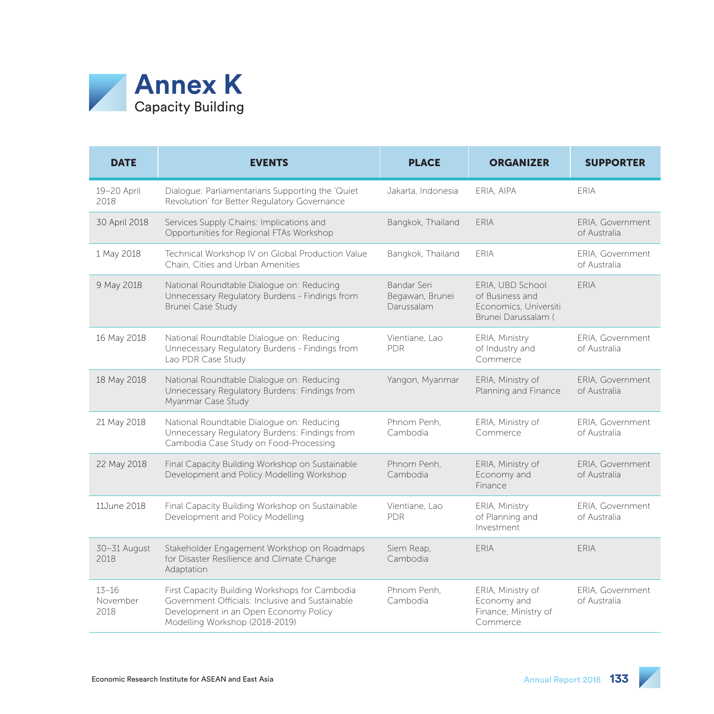

| <b>DATE</b>                   | <b>EVENTS</b>                                                                                                                                                                | <b>PLACE</b>                                 | <b>ORGANIZER</b>                                                                    | <b>SUPPORTER</b>                 |
|-------------------------------|------------------------------------------------------------------------------------------------------------------------------------------------------------------------------|----------------------------------------------|-------------------------------------------------------------------------------------|----------------------------------|
| 19-20 April<br>2018           | Dialogue: Parliamentarians Supporting the 'Quiet'<br>Revolution' for Better Regulatory Governance                                                                            | Jakarta, Indonesia                           | ERIA, AIPA                                                                          | ERIA                             |
| 30 April 2018                 | Services Supply Chains: Implications and<br>Opportunities for Regional FTAs Workshop                                                                                         | Bangkok, Thailand                            | <b>ERIA</b>                                                                         | ERIA, Government<br>of Australia |
| 1 May 2018                    | Technical Workshop IV on Global Production Value<br>Chain. Cities and Urban Amenities                                                                                        | Bangkok, Thailand                            | <b>ERIA</b>                                                                         | ERIA. Government<br>of Australia |
| 9 May 2018                    | National Roundtable Dialogue on: Reducing<br>Unnecessary Regulatory Burdens - Findings from<br>Brunei Case Study                                                             | Bandar Seri<br>Begawan, Brunei<br>Darussalam | ERIA, UBD School<br>of Business and<br>Economics, Universiti<br>Brunei Darussalam ( | <b>FRIA</b>                      |
| 16 May 2018                   | National Roundtable Dialogue on: Reducing<br>Unnecessary Regulatory Burdens - Findings from<br>Lao PDR Case Study                                                            | Vientiane, Lao<br><b>PDR</b>                 | ERIA, Ministry<br>of Industry and<br>Commerce                                       | ERIA, Government<br>of Australia |
| 18 May 2018                   | National Roundtable Dialogue on: Reducing<br>Unnecessary Regulatory Burdens: Findings from<br>Myanmar Case Study                                                             | Yangon, Myanmar                              | ERIA, Ministry of<br>Planning and Finance                                           | ERIA, Government<br>of Australia |
| 21 May 2018                   | National Roundtable Dialogue on: Reducing<br>Unnecessary Regulatory Burdens: Findings from<br>Cambodia Case Study on Food-Processing                                         | Phnom Penh.<br>Cambodia                      | ERIA, Ministry of<br>Commerce                                                       | ERIA. Government<br>of Australia |
| 22 May 2018                   | Final Capacity Building Workshop on Sustainable<br>Development and Policy Modelling Workshop                                                                                 | Phnom Penh.<br>Cambodia                      | ERIA, Ministry of<br>Economy and<br>Finance                                         | ERIA, Government<br>of Australia |
| 11June 2018                   | Final Capacity Building Workshop on Sustainable<br>Development and Policy Modelling                                                                                          | Vientiane, Lao<br><b>PDR</b>                 | ERIA, Ministry<br>of Planning and<br>Investment                                     | ERIA. Government<br>of Australia |
| 30-31 August<br>2018          | Stakeholder Engagement Workshop on Roadmaps<br>for Disaster Resilience and Climate Change<br>Adaptation                                                                      | Siem Reap,<br>Cambodia                       | ERIA                                                                                | <b>ERIA</b>                      |
| $13 - 16$<br>November<br>2018 | First Capacity Building Workshops for Cambodia<br>Government Officials: Inclusive and Sustainable<br>Development in an Open Economy Policy<br>Modelling Workshop (2018-2019) | Phnom Penh.<br>Cambodia                      | ERIA, Ministry of<br>Economy and<br>Finance, Ministry of<br>Commerce                | ERIA. Government<br>of Australia |